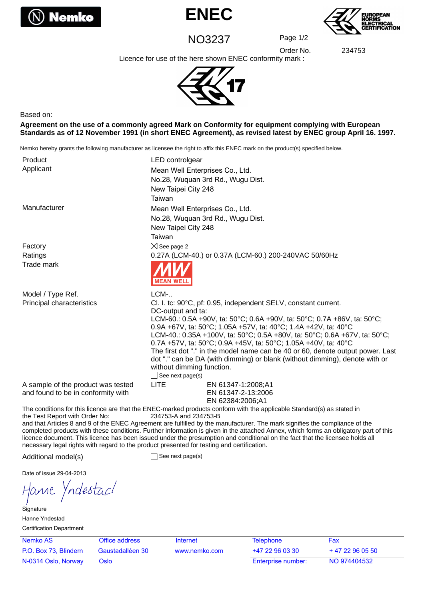





NO3237 Page 1/2

Order No. 234753

Licence for use of the here shown ENEC conformity mark :



Based on:

**Agreement on the use of a commonly agreed Mark on Conformity for equipment complying with European Standards as of 12 November 1991 (in short ENEC Agreement), as revised latest by ENEC group April 16. 1997.**

Nemko hereby grants the following manufacturer as licensee the right to affix this ENEC mark on the product(s) specified below.

| Product<br>Applicant                                                     | LED controlgear<br>Mean Well Enterprises Co., Ltd.<br>No.28, Wuquan 3rd Rd., Wugu Dist.<br>New Taipei City 248<br>Taiwan                                                                                                                                                                                                                                                                                                                                                                                                                                                                                 |  |
|--------------------------------------------------------------------------|----------------------------------------------------------------------------------------------------------------------------------------------------------------------------------------------------------------------------------------------------------------------------------------------------------------------------------------------------------------------------------------------------------------------------------------------------------------------------------------------------------------------------------------------------------------------------------------------------------|--|
| Manufacturer                                                             | Mean Well Enterprises Co., Ltd.<br>No.28, Wuquan 3rd Rd., Wugu Dist.<br>New Taipei City 248<br>Taiwan                                                                                                                                                                                                                                                                                                                                                                                                                                                                                                    |  |
| Factory                                                                  | $\boxtimes$ See page 2                                                                                                                                                                                                                                                                                                                                                                                                                                                                                                                                                                                   |  |
| Ratings                                                                  | 0.27A (LCM-40.) or 0.37A (LCM-60.) 200-240VAC 50/60Hz                                                                                                                                                                                                                                                                                                                                                                                                                                                                                                                                                    |  |
| Trade mark                                                               |                                                                                                                                                                                                                                                                                                                                                                                                                                                                                                                                                                                                          |  |
| Model / Type Ref.                                                        | $LCM$ -                                                                                                                                                                                                                                                                                                                                                                                                                                                                                                                                                                                                  |  |
| Principal characteristics                                                | Cl. I. tc: 90°C, pf: 0.95, independent SELV, constant current.<br>DC-output and ta:<br>LCM-60.: 0.5A +90V, ta: 50°C; 0.6A +90V, ta: 50°C; 0.7A +86V, ta: 50°C;<br>0.9A +67V, ta: 50°C; 1.05A +57V, ta: 40°C; 1.4A +42V, ta: 40°C<br>LCM-40.: 0.35A +100V, ta: 50°C; 0.5A +80V, ta: 50°C; 0.6A +67V, ta: 50°C;<br>0.7A +57V, ta: 50°C; 0.9A +45V, ta: 50°C; 1.05A +40V, ta: 40°C<br>The first dot "." in the model name can be 40 or 60, denote output power. Last<br>dot "." can be DA (with dimming) or blank (without dimming), denote with or<br>without dimming function.<br>$\Box$ See next page(s) |  |
| A sample of the product was tested<br>and found to be in conformity with | <b>LITE</b><br>EN 61347-1:2008;A1<br>EN 61347-2-13:2006<br>EN 62384:2006;A1                                                                                                                                                                                                                                                                                                                                                                                                                                                                                                                              |  |

The conditions for this licence are that the ENEC-marked products conform with the applicable Standard(s) as stated in the Test Report with Order No: 234753-A and 234753-B and that Articles 8 and 9 of the ENEC Agreement are fulfilled by the manufacturer. The mark signifies the compliance of the

completed products with these conditions. Further information is given in the attached Annex, which forms an obligatory part of this licence document. This licence has been issued under the presumption and conditional on the fact that the licensee holds all necessary legal rights with regard to the product presented for testing and certification.

Additional model(s) See next page(s)

Date of issue 29-04-2013

ndesta*cl* Hanne

**Signature** Hanne Yndestad Certification Department

Nemko AS **Office address** Internet P.O. Box 73, Blindern Gaustadalléen 30 www.nemko.com N-0314 Oslo, Norway Oslo

| Telephone          | Fax          |
|--------------------|--------------|
| +47 22 96 03 30    | $+472960550$ |
| Enterprise number: | NO 974404532 |